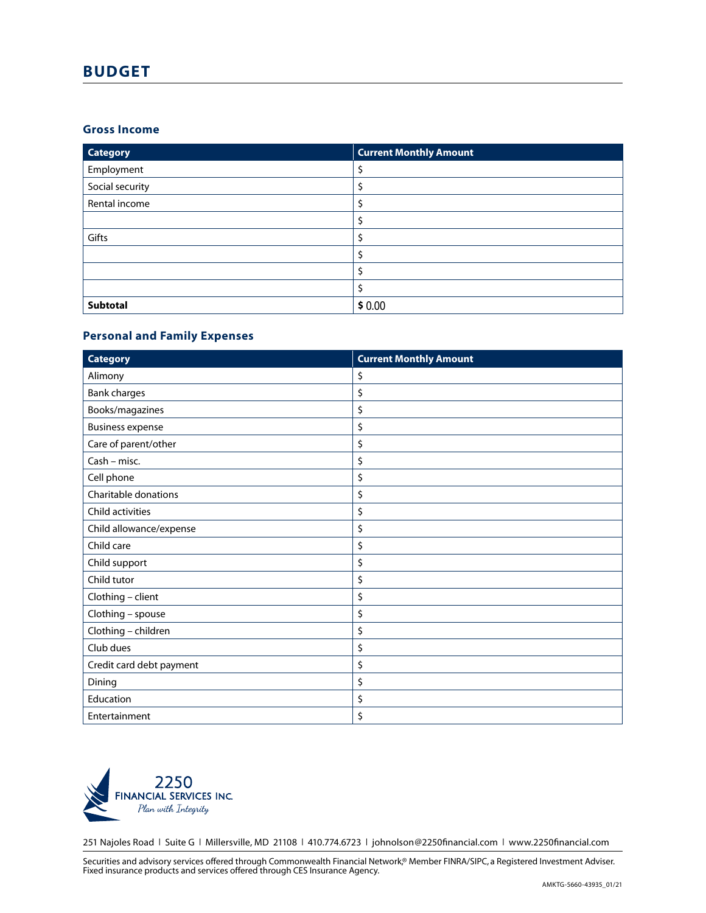# **BUDGET**

#### **Gross Income**

| <b>Category</b> | <b>Current Monthly Amount</b> |
|-----------------|-------------------------------|
| Employment      | ₹                             |
| Social security |                               |
| Rental income   |                               |
|                 | \$                            |
| Gifts           | \$                            |
|                 | \$                            |
|                 | \$                            |
|                 | \$                            |
| Subtotal        | \$0.00                        |

## **Personal and Family Expenses**

| <b>Category</b>          | <b>Current Monthly Amount</b> |
|--------------------------|-------------------------------|
| Alimony                  | \$                            |
| <b>Bank charges</b>      | \$                            |
| Books/magazines          | \$                            |
| <b>Business expense</b>  | \$                            |
| Care of parent/other     | \$                            |
| Cash - misc.             | \$                            |
| Cell phone               | \$                            |
| Charitable donations     | \$                            |
| Child activities         | \$                            |
| Child allowance/expense  | \$                            |
| Child care               | \$                            |
| Child support            | \$                            |
| Child tutor              | \$                            |
| Clothing - client        | \$                            |
| Clothing - spouse        | \$                            |
| Clothing - children      | \$                            |
| Club dues                | \$                            |
| Credit card debt payment | \$                            |
| Dining                   | \$                            |
| Education                | \$                            |
| Entertainment            | \$                            |



251 Najoles Road | Suite G | Millersville, MD 21108 | 410.774.6723 | johnolson@2250financial.com | www.2250financial.com

Securities and advisory services offered through Commonwealth Financial Network,® Member FINRA/SIPC, a Registered Investment Adviser. Fixed insurance products and services offered through CES Insurance Agency.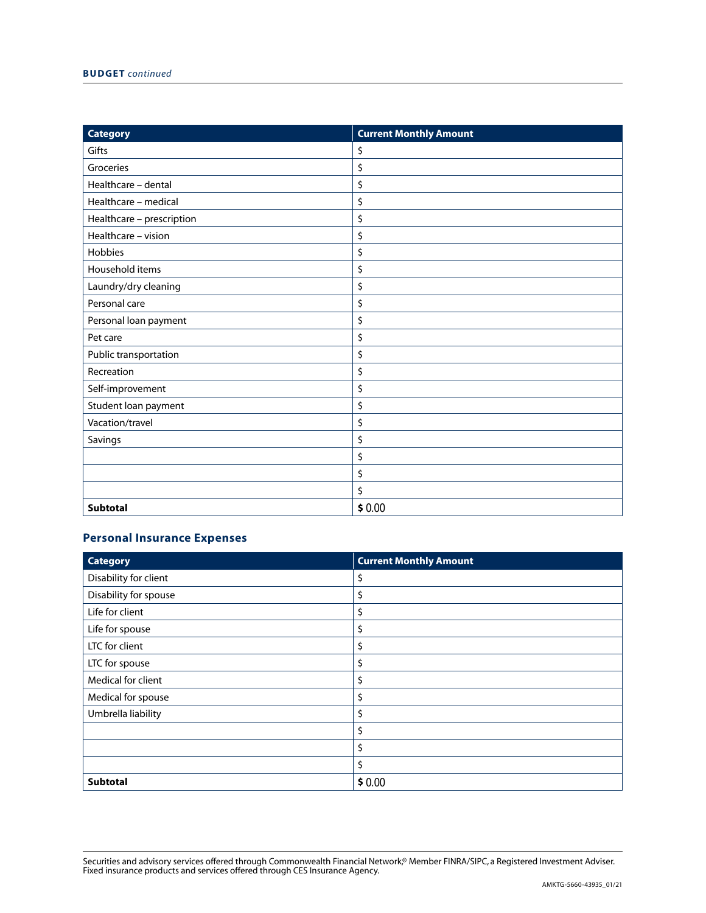| <b>Category</b>           | <b>Current Monthly Amount</b> |
|---------------------------|-------------------------------|
| Gifts                     | \$                            |
| Groceries                 | \$                            |
| Healthcare - dental       | \$                            |
| Healthcare - medical      | \$                            |
| Healthcare - prescription | \$                            |
| Healthcare - vision       | \$                            |
| Hobbies                   | \$                            |
| Household items           | \$                            |
| Laundry/dry cleaning      | \$                            |
| Personal care             | \$                            |
| Personal loan payment     | \$                            |
| Pet care                  | \$                            |
| Public transportation     | \$                            |
| Recreation                | \$                            |
| Self-improvement          | \$                            |
| Student loan payment      | \$                            |
| Vacation/travel           | \$                            |
| Savings                   | \$                            |
|                           | \$                            |
|                           | \$                            |
|                           | \$                            |
| <b>Subtotal</b>           | \$0.00                        |

## **Personal Insurance Expenses**

| <b>Category</b>       | <b>Current Monthly Amount</b> |
|-----------------------|-------------------------------|
| Disability for client | \$                            |
| Disability for spouse | \$                            |
| Life for client       | \$                            |
| Life for spouse       | \$                            |
| LTC for client        | \$                            |
| LTC for spouse        | \$                            |
| Medical for client    | \$                            |
| Medical for spouse    | \$                            |
| Umbrella liability    | \$                            |
|                       | \$                            |
|                       | \$                            |
|                       | \$                            |
| Subtotal              | \$0.00                        |

Securities and advisory services offered through Commonwealth Financial Network,® Member FINRA/SIPC, a Registered Investment Adviser. Fixed insurance products and services offered through CES Insurance Agency.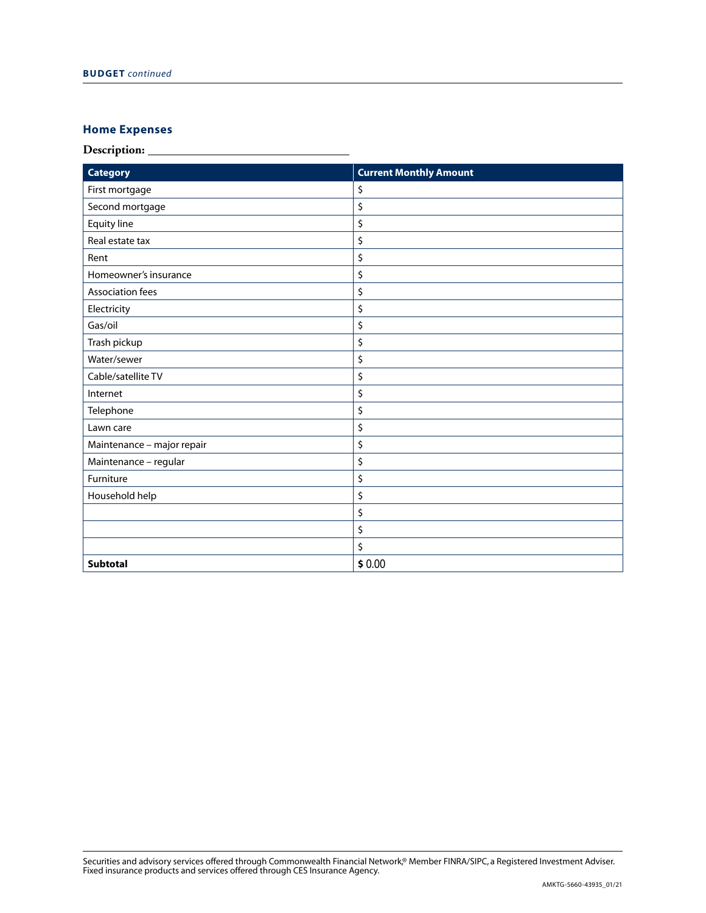# **Home Expenses**

**Description:** 

| <b>Category</b>            | <b>Current Monthly Amount</b> |
|----------------------------|-------------------------------|
| First mortgage             | \$                            |
| Second mortgage            | \$                            |
| Equity line                | \$                            |
| Real estate tax            | \$                            |
| Rent                       | \$                            |
| Homeowner's insurance      | \$                            |
| <b>Association fees</b>    | \$                            |
| Electricity                | \$                            |
| Gas/oil                    | \$                            |
| Trash pickup               | \$                            |
| Water/sewer                | \$                            |
| Cable/satellite TV         | \$                            |
| Internet                   | \$                            |
| Telephone                  | \$                            |
| Lawn care                  | \$                            |
| Maintenance - major repair | \$                            |
| Maintenance - regular      | \$                            |
| Furniture                  | \$                            |
| Household help             | \$                            |
|                            | \$                            |
|                            | \$                            |
|                            | \$                            |
| <b>Subtotal</b>            | \$0.00                        |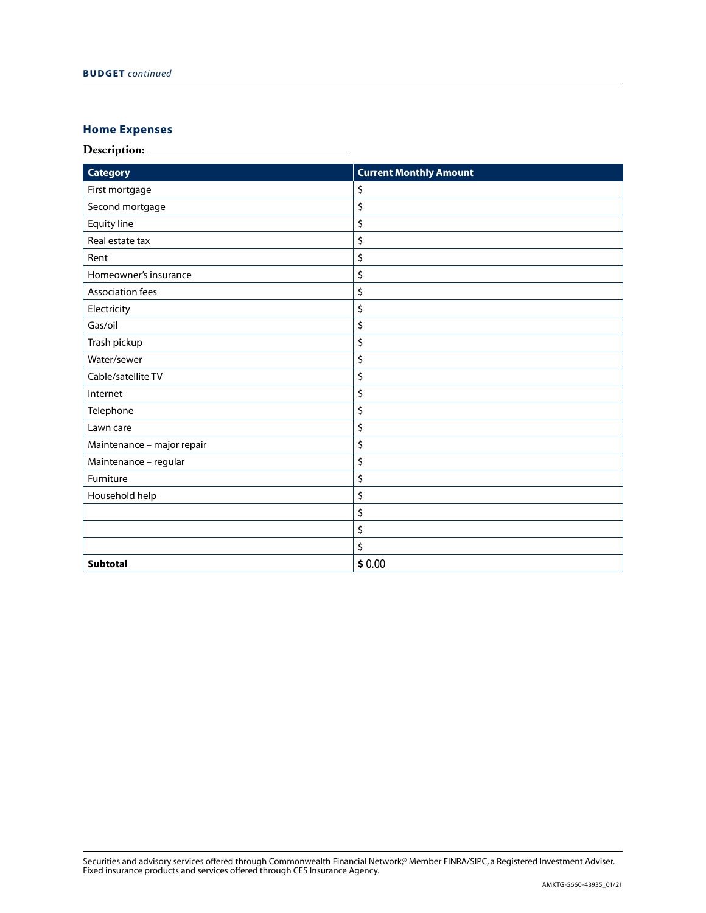# **Home Expenses**

**Description:** 

| <b>Category</b>            | <b>Current Monthly Amount</b> |
|----------------------------|-------------------------------|
| First mortgage             | \$                            |
| Second mortgage            | \$                            |
| Equity line                | \$                            |
| Real estate tax            | \$                            |
| Rent                       | \$                            |
| Homeowner's insurance      | \$                            |
| <b>Association fees</b>    | \$                            |
| Electricity                | \$                            |
| Gas/oil                    | \$                            |
| Trash pickup               | \$                            |
| Water/sewer                | \$                            |
| Cable/satellite TV         | \$                            |
| Internet                   | \$                            |
| Telephone                  | \$                            |
| Lawn care                  | \$                            |
| Maintenance - major repair | \$                            |
| Maintenance - regular      | \$                            |
| Furniture                  | \$                            |
| Household help             | \$                            |
|                            | \$                            |
|                            | \$                            |
|                            | \$                            |
| <b>Subtotal</b>            | \$0.00                        |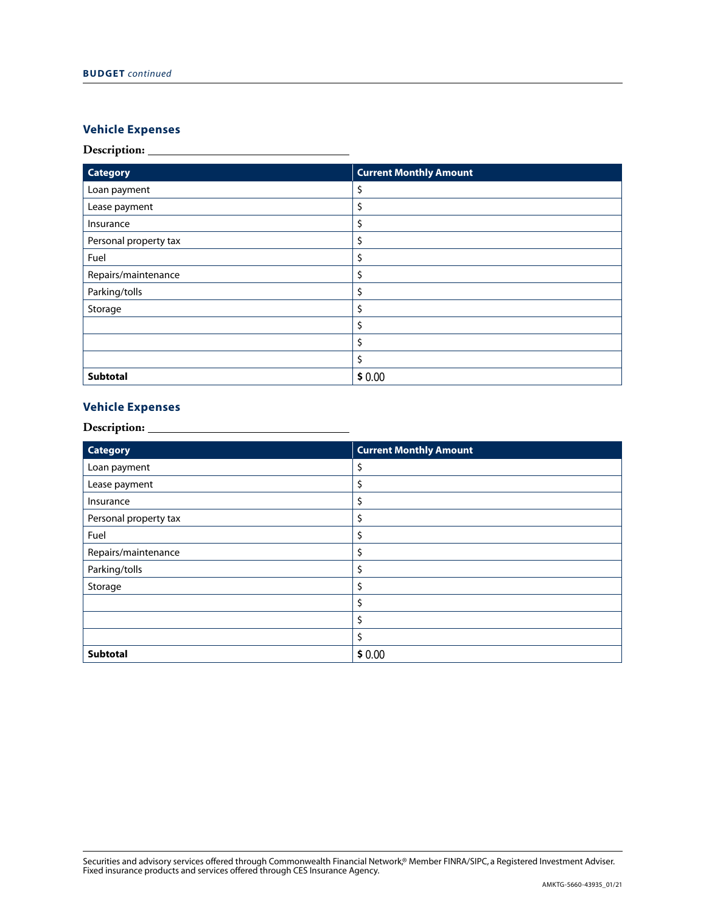## **Vehicle Expenses**

#### **Description:**

| <b>Category</b>       | <b>Current Monthly Amount</b> |
|-----------------------|-------------------------------|
| Loan payment          | \$                            |
| Lease payment         | \$                            |
| Insurance             | \$                            |
| Personal property tax | \$                            |
| Fuel                  | \$                            |
| Repairs/maintenance   | \$                            |
| Parking/tolls         | \$                            |
| Storage               | \$                            |
|                       | \$                            |
|                       | \$                            |
|                       | \$                            |
| Subtotal              | \$0.00                        |

### **Vehicle Expenses**

#### **Description:**

| <b>Subtotal</b>                           | \$0.00                        |
|-------------------------------------------|-------------------------------|
| <b>Vehicle Expenses</b><br>Description: _ |                               |
| <b>Category</b>                           | <b>Current Monthly Amount</b> |
| Loan payment                              | \$                            |
| Lease payment                             | \$                            |
| Insurance                                 | \$                            |
| Personal property tax                     | \$                            |
| Fuel                                      | \$                            |
| Repairs/maintenance                       | \$                            |
| Parking/tolls                             | \$                            |
| Storage                                   | \$                            |
|                                           | \$                            |
|                                           | \$                            |
|                                           | \$                            |
| Subtotal                                  | \$0.00                        |